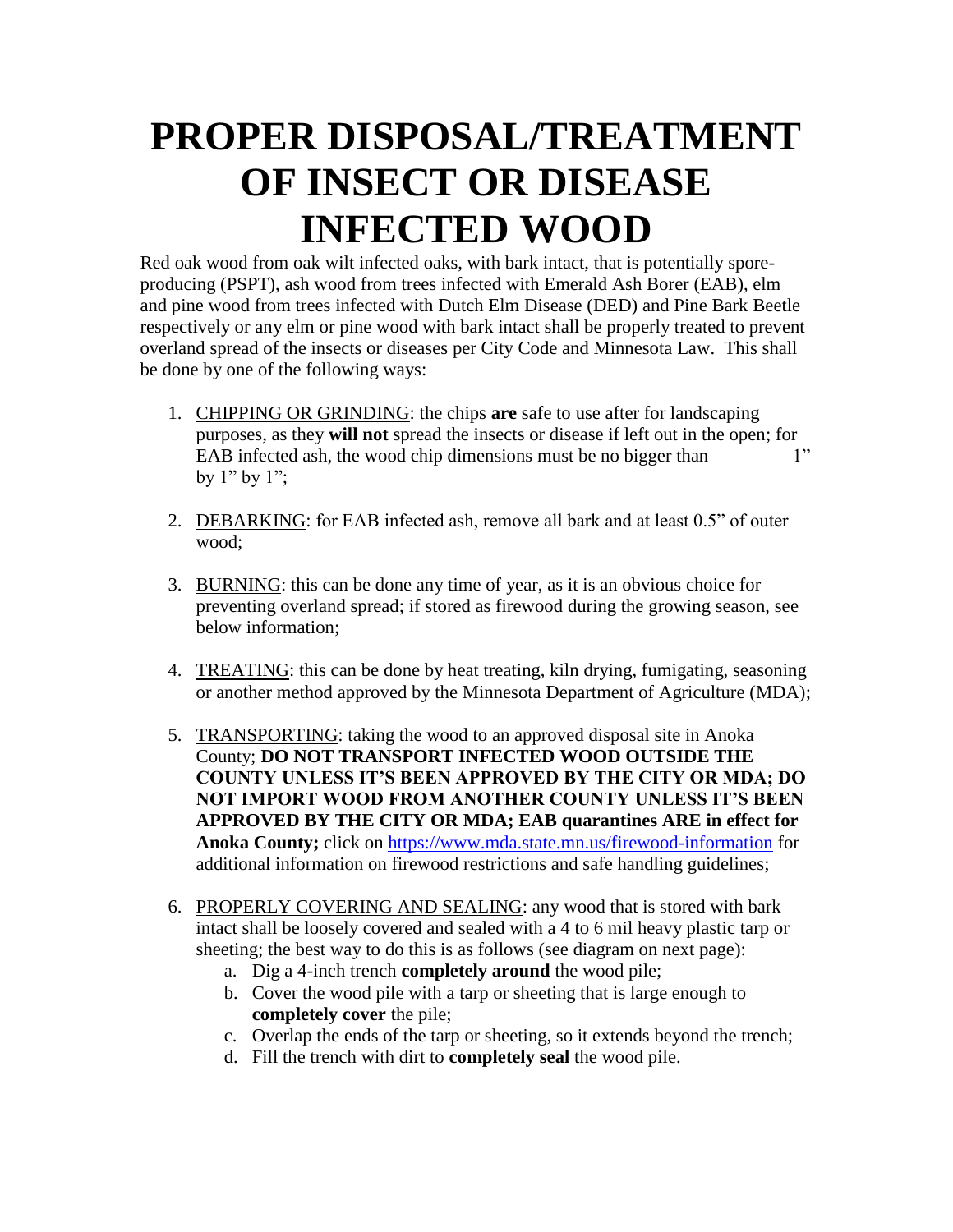## **PROPER DISPOSAL/TREATMENT OF INSECT OR DISEASE INFECTED WOOD**

Red oak wood from oak wilt infected oaks, with bark intact, that is potentially sporeproducing (PSPT), ash wood from trees infected with Emerald Ash Borer (EAB), elm and pine wood from trees infected with Dutch Elm Disease (DED) and Pine Bark Beetle respectively or any elm or pine wood with bark intact shall be properly treated to prevent overland spread of the insects or diseases per City Code and Minnesota Law. This shall be done by one of the following ways:

- 1. CHIPPING OR GRINDING: the chips **are** safe to use after for landscaping purposes, as they **will not** spread the insects or disease if left out in the open; for EAB infected ash, the wood chip dimensions must be no bigger than 1" by  $1"$  by  $1"$ ;
- 2. DEBARKING: for EAB infected ash, remove all bark and at least 0.5" of outer wood;
- 3. BURNING: this can be done any time of year, as it is an obvious choice for preventing overland spread; if stored as firewood during the growing season, see below information;
- 4. TREATING: this can be done by heat treating, kiln drying, fumigating, seasoning or another method approved by the Minnesota Department of Agriculture (MDA);
- 5. TRANSPORTING: taking the wood to an approved disposal site in Anoka County; **DO NOT TRANSPORT INFECTED WOOD OUTSIDE THE COUNTY UNLESS IT'S BEEN APPROVED BY THE CITY OR MDA; DO NOT IMPORT WOOD FROM ANOTHER COUNTY UNLESS IT'S BEEN APPROVED BY THE CITY OR MDA; EAB quarantines ARE in effect for Anoka County;** click on<https://www.mda.state.mn.us/firewood-information> for additional information on firewood restrictions and safe handling guidelines;
- 6. PROPERLY COVERING AND SEALING: any wood that is stored with bark intact shall be loosely covered and sealed with a 4 to 6 mil heavy plastic tarp or sheeting; the best way to do this is as follows (see diagram on next page):
	- a. Dig a 4-inch trench **completely around** the wood pile;
	- b. Cover the wood pile with a tarp or sheeting that is large enough to **completely cover** the pile;
	- c. Overlap the ends of the tarp or sheeting, so it extends beyond the trench;
	- d. Fill the trench with dirt to **completely seal** the wood pile.